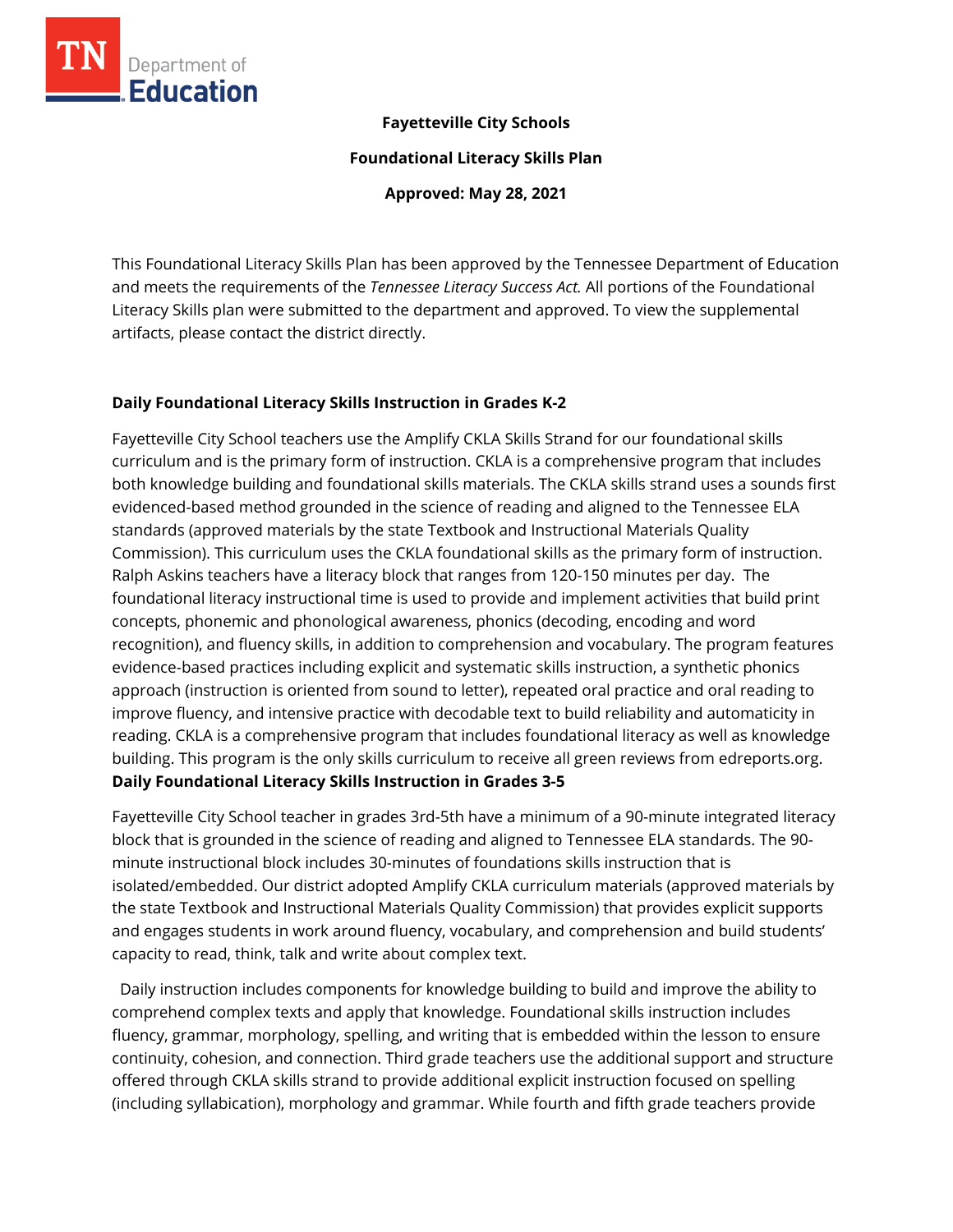

#### **Fayetteville City Schools**

**Foundational Literacy Skills Plan**

**Approved: May 28, 2021**

This Foundational Literacy Skills Plan has been approved by the Tennessee Department of Education and meets the requirements of the *Tennessee Literacy Success Act.* All portions of the Foundational Literacy Skills plan were submitted to the department and approved. To view the supplemental artifacts, please contact the district directly.

#### **Daily Foundational Literacy Skills Instruction in Grades K-2**

Fayetteville City School teachers use the Amplify CKLA Skills Strand for our foundational skills curriculum and is the primary form of instruction. CKLA is a comprehensive program that includes both knowledge building and foundational skills materials. The CKLA skills strand uses a sounds first evidenced-based method grounded in the science of reading and aligned to the Tennessee ELA standards (approved materials by the state Textbook and Instructional Materials Quality Commission). This curriculum uses the CKLA foundational skills as the primary form of instruction. Ralph Askins teachers have a literacy block that ranges from 120-150 minutes per day. The foundational literacy instructional time is used to provide and implement activities that build print concepts, phonemic and phonological awareness, phonics (decoding, encoding and word recognition), and fluency skills, in addition to comprehension and vocabulary. The program features evidence-based practices including explicit and systematic skills instruction, a synthetic phonics approach (instruction is oriented from sound to letter), repeated oral practice and oral reading to improve fluency, and intensive practice with decodable text to build reliability and automaticity in reading. CKLA is a comprehensive program that includes foundational literacy as well as knowledge building. This program is the only skills curriculum to receive all green reviews from edreports.org. **Daily Foundational Literacy Skills Instruction in Grades 3-5**

Fayetteville City School teacher in grades 3rd-5th have a minimum of a 90-minute integrated literacy block that is grounded in the science of reading and aligned to Tennessee ELA standards. The 90 minute instructional block includes 30-minutes of foundations skills instruction that is isolated/embedded. Our district adopted Amplify CKLA curriculum materials (approved materials by the state Textbook and Instructional Materials Quality Commission) that provides explicit supports and engages students in work around fluency, vocabulary, and comprehension and build students' capacity to read, think, talk and write about complex text.

 Daily instruction includes components for knowledge building to build and improve the ability to comprehend complex texts and apply that knowledge. Foundational skills instruction includes fluency, grammar, morphology, spelling, and writing that is embedded within the lesson to ensure continuity, cohesion, and connection. Third grade teachers use the additional support and structure offered through CKLA skills strand to provide additional explicit instruction focused on spelling (including syllabication), morphology and grammar. While fourth and fifth grade teachers provide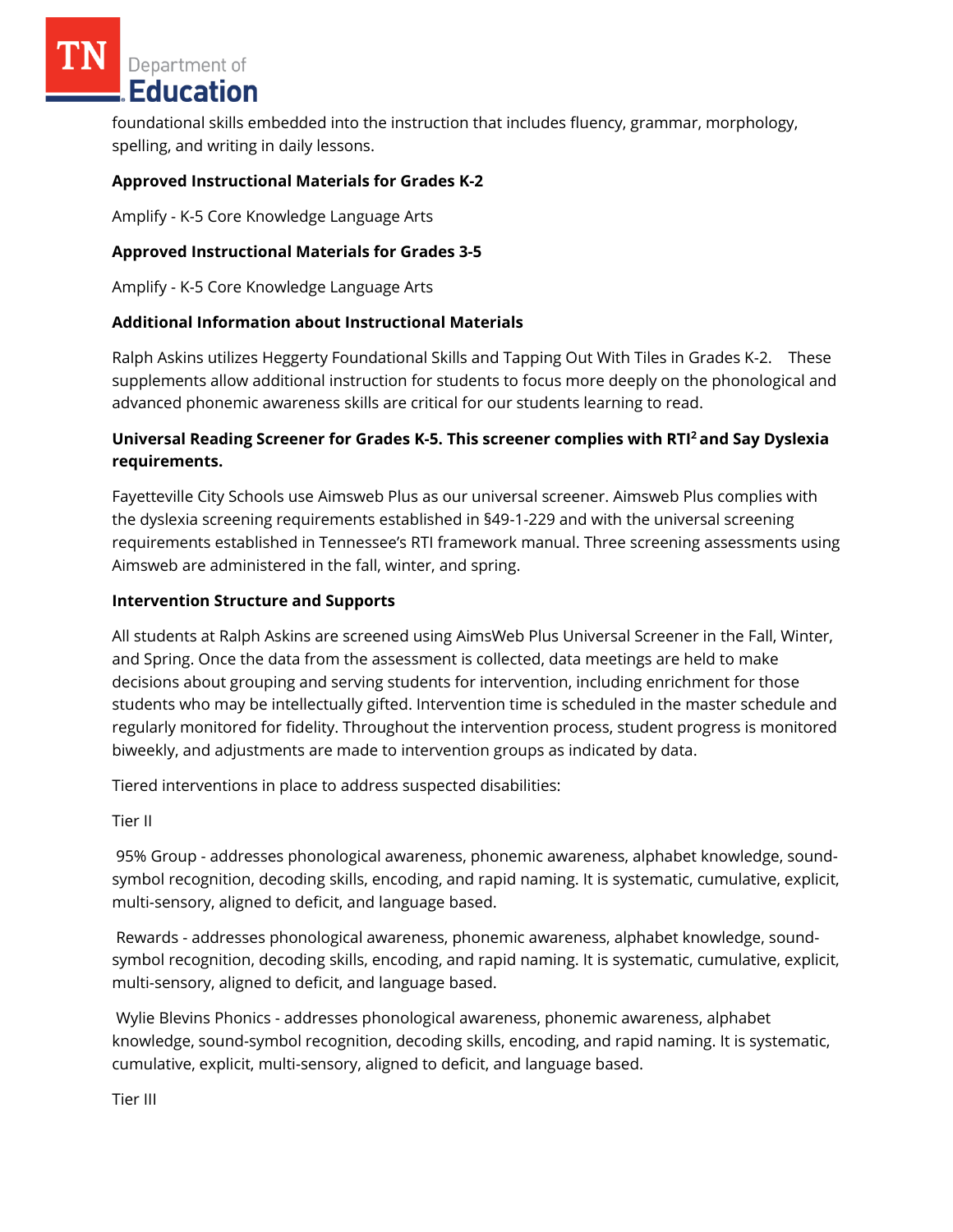Department of **Education** 

foundational skills embedded into the instruction that includes fluency, grammar, morphology, spelling, and writing in daily lessons.

### **Approved Instructional Materials for Grades K-2**

Amplify - K-5 Core Knowledge Language Arts

### **Approved Instructional Materials for Grades 3-5**

Amplify - K-5 Core Knowledge Language Arts

### **Additional Information about Instructional Materials**

Ralph Askins utilizes Heggerty Foundational Skills and Tapping Out With Tiles in Grades K-2. These supplements allow additional instruction for students to focus more deeply on the phonological and advanced phonemic awareness skills are critical for our students learning to read.

# **Universal Reading Screener for Grades K-5. This screener complies with RTI<sup>2</sup>and Say Dyslexia requirements.**

Fayetteville City Schools use Aimsweb Plus as our universal screener. Aimsweb Plus complies with the dyslexia screening requirements established in §49-1-229 and with the universal screening requirements established in Tennessee's RTI framework manual. Three screening assessments using Aimsweb are administered in the fall, winter, and spring.

#### **Intervention Structure and Supports**

All students at Ralph Askins are screened using AimsWeb Plus Universal Screener in the Fall, Winter, and Spring. Once the data from the assessment is collected, data meetings are held to make decisions about grouping and serving students for intervention, including enrichment for those students who may be intellectually gifted. Intervention time is scheduled in the master schedule and regularly monitored for fidelity. Throughout the intervention process, student progress is monitored biweekly, and adjustments are made to intervention groups as indicated by data.

Tiered interventions in place to address suspected disabilities:

Tier II

95% Group - addresses phonological awareness, phonemic awareness, alphabet knowledge, soundsymbol recognition, decoding skills, encoding, and rapid naming. It is systematic, cumulative, explicit, multi-sensory, aligned to deficit, and language based.

Rewards - addresses phonological awareness, phonemic awareness, alphabet knowledge, soundsymbol recognition, decoding skills, encoding, and rapid naming. It is systematic, cumulative, explicit, multi-sensory, aligned to deficit, and language based.

Wylie Blevins Phonics - addresses phonological awareness, phonemic awareness, alphabet knowledge, sound-symbol recognition, decoding skills, encoding, and rapid naming. It is systematic, cumulative, explicit, multi-sensory, aligned to deficit, and language based.

Tier III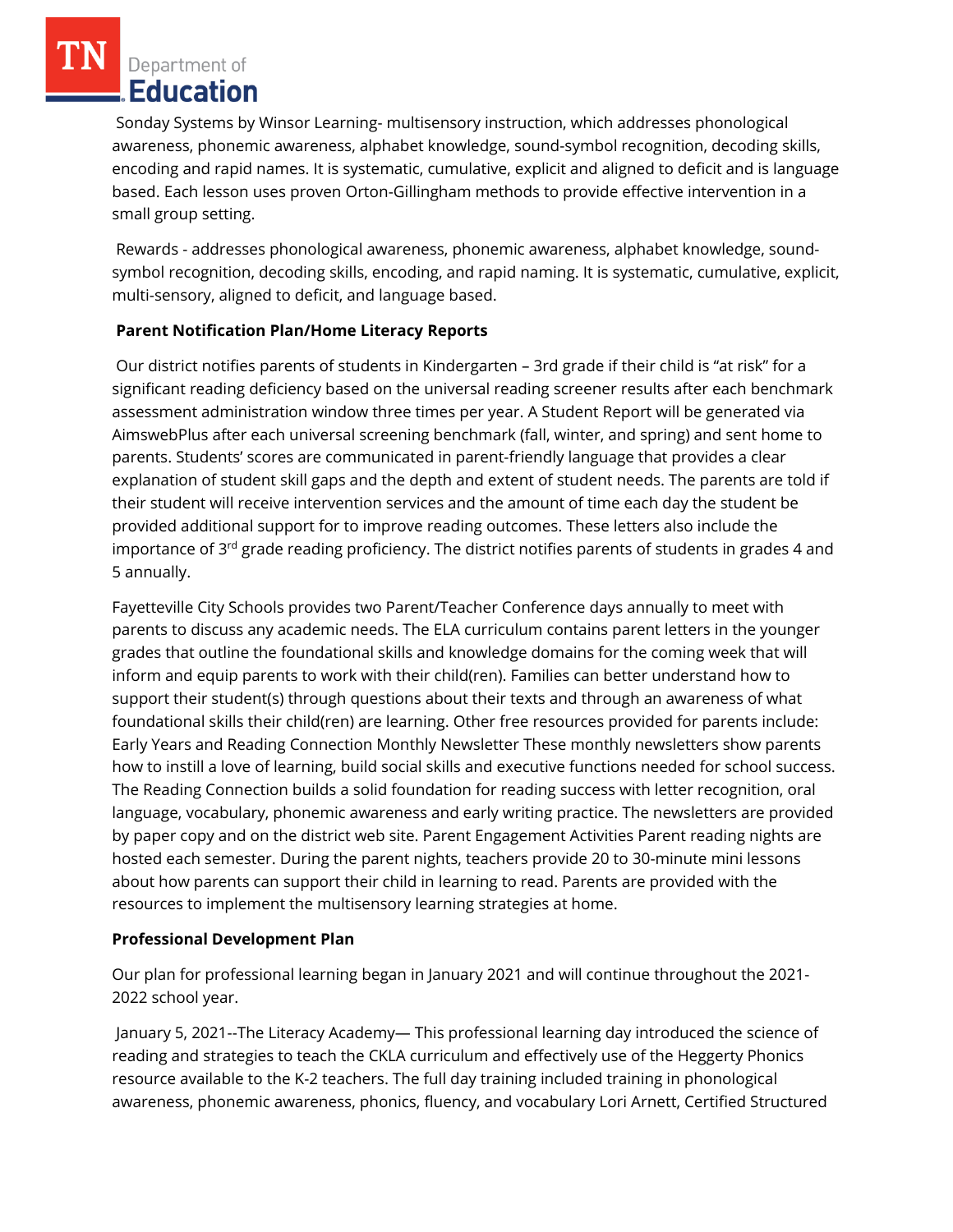Department of Education

Sonday Systems by Winsor Learning- multisensory instruction, which addresses phonological awareness, phonemic awareness, alphabet knowledge, sound-symbol recognition, decoding skills, encoding and rapid names. It is systematic, cumulative, explicit and aligned to deficit and is language based. Each lesson uses proven Orton-Gillingham methods to provide effective intervention in a small group setting.

Rewards - addresses phonological awareness, phonemic awareness, alphabet knowledge, soundsymbol recognition, decoding skills, encoding, and rapid naming. It is systematic, cumulative, explicit, multi-sensory, aligned to deficit, and language based.

# **Parent Notification Plan/Home Literacy Reports**

Our district notifies parents of students in Kindergarten – 3rd grade if their child is "at risk" for a significant reading deficiency based on the universal reading screener results after each benchmark assessment administration window three times per year. A Student Report will be generated via AimswebPlus after each universal screening benchmark (fall, winter, and spring) and sent home to parents. Students' scores are communicated in parent-friendly language that provides a clear explanation of student skill gaps and the depth and extent of student needs. The parents are told if their student will receive intervention services and the amount of time each day the student be provided additional support for to improve reading outcomes. These letters also include the importance of 3<sup>rd</sup> grade reading proficiency. The district notifies parents of students in grades 4 and 5 annually.

Fayetteville City Schools provides two Parent/Teacher Conference days annually to meet with parents to discuss any academic needs. The ELA curriculum contains parent letters in the younger grades that outline the foundational skills and knowledge domains for the coming week that will inform and equip parents to work with their child(ren). Families can better understand how to support their student(s) through questions about their texts and through an awareness of what foundational skills their child(ren) are learning. Other free resources provided for parents include: Early Years and Reading Connection Monthly Newsletter These monthly newsletters show parents how to instill a love of learning, build social skills and executive functions needed for school success. The Reading Connection builds a solid foundation for reading success with letter recognition, oral language, vocabulary, phonemic awareness and early writing practice. The newsletters are provided by paper copy and on the district web site. Parent Engagement Activities Parent reading nights are hosted each semester. During the parent nights, teachers provide 20 to 30-minute mini lessons about how parents can support their child in learning to read. Parents are provided with the resources to implement the multisensory learning strategies at home.

# **Professional Development Plan**

Our plan for professional learning began in January 2021 and will continue throughout the 2021- 2022 school year.

January 5, 2021--The Literacy Academy— This professional learning day introduced the science of reading and strategies to teach the CKLA curriculum and effectively use of the Heggerty Phonics resource available to the K-2 teachers. The full day training included training in phonological awareness, phonemic awareness, phonics, fluency, and vocabulary Lori Arnett, Certified Structured